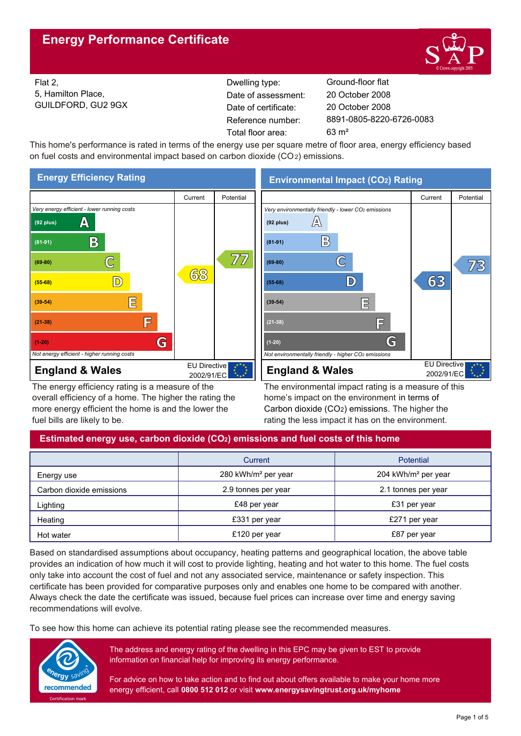

Flat 2, 5, Hamilton Place, GUILDFORD, GU2 9GX Reference number: Dwelling type: Ground-floor flat Date of certificate: Total floor area: 63 m² Date of assessment:

8891-0805-8220-6726-0083 20 October 2008 20 October 2008

This home's performance is rated in terms of the energy use per square metre of floor area, energy efficiency based on fuel costs and environmental impact based on carbon dioxide (CO2) emissions.



The energy efficiency rating is a measure of the overall efficiency of a home. The higher the rating the more energy efficient the home is and the lower the fuel bills are likely to be.

**Environmental Impact (CO2) Rating**



The environmental impact rating is a measure of this home's impact on the environment in terms of Carbon dioxide (CO2) emissions. The higher the rating the less impact it has on the environment.

## **Estimated energy use, carbon dioxide (CO2) emissions and fuel costs of this home**

|                          | Current                         | <b>Potential</b>                |  |
|--------------------------|---------------------------------|---------------------------------|--|
| Energy use               | 280 kWh/m <sup>2</sup> per year | 204 kWh/m <sup>2</sup> per year |  |
| Carbon dioxide emissions | 2.9 tonnes per year             | 2.1 tonnes per year             |  |
| Lighting                 | £48 per year                    | £31 per year                    |  |
| Heating                  | £331 per year                   | £271 per year                   |  |
| Hot water                | £120 per year                   | £87 per year                    |  |

Based on standardised assumptions about occupancy, heating patterns and geographical location, the above table provides an indication of how much it will cost to provide lighting, heating and hot water to this home. The fuel costs only take into account the cost of fuel and not any associated service, maintenance or safety inspection. This certificate has been provided for comparative purposes only and enables one home to be compared with another. Always check the date the certificate was issued, because fuel prices can increase over time and energy saving recommendations will evolve.

To see how this home can achieve its potential rating please see the recommended measures.



The address and energy rating of the dwelling in this EPC may be given to EST to provide information on financial help for improving its energy performance.

For advice on how to take action and to find out about offers available to make your home more energy efficient, call **0800 512 012** or visit **www.energysavingtrust.org.uk/myhome**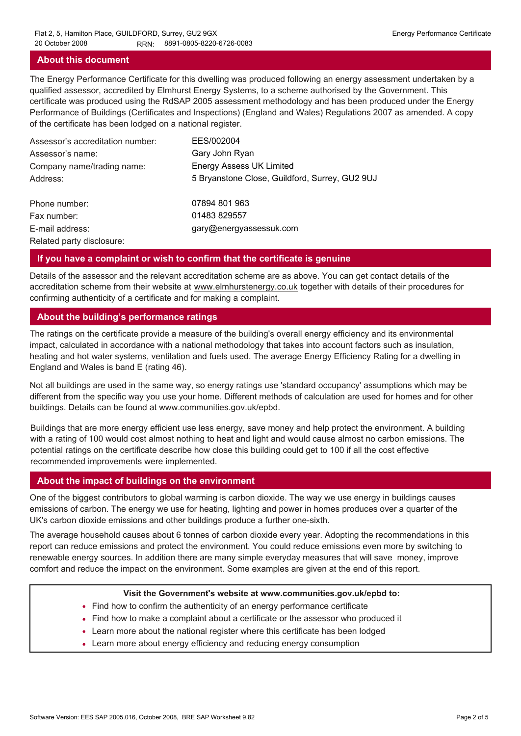#### **About this document**

The Energy Performance Certificate for this dwelling was produced following an energy assessment undertaken by a qualified assessor, accredited by Elmhurst Energy Systems, to a scheme authorised by the Government. This certificate was produced using the RdSAP 2005 assessment methodology and has been produced under the Energy Performance of Buildings (Certificates and Inspections) (England and Wales) Regulations 2007 as amended. A copy of the certificate has been lodged on a national register.

| Assessor's accreditation number: | EES/002004                                     |
|----------------------------------|------------------------------------------------|
| Assessor's name:                 | Gary John Ryan                                 |
| Company name/trading name:       | <b>Energy Assess UK Limited</b>                |
| Address:                         | 5 Bryanstone Close, Guildford, Surrey, GU2 9UJ |
| Phone number:                    | 07894 801 963                                  |
| Fax number:                      | 01483 829557                                   |
| E-mail address:                  | gary@energyassessuk.com                        |
| Related party disclosure:        |                                                |

#### **If you have a complaint or wish to confirm that the certificate is genuine**

Details of the assessor and the relevant accreditation scheme are as above. You can get contact details of the accreditation scheme from their website at www.elmhurstenergy.co.uk together with details of their procedures for confirming authenticity of a certificate and for making a complaint.

#### **About the building's performance ratings**

The ratings on the certificate provide a measure of the building's overall energy efficiency and its environmental impact, calculated in accordance with a national methodology that takes into account factors such as insulation, heating and hot water systems, ventilation and fuels used. The average Energy Efficiency Rating for a dwelling in England and Wales is band E (rating 46).

Not all buildings are used in the same way, so energy ratings use 'standard occupancy' assumptions which may be different from the specific way you use your home. Different methods of calculation are used for homes and for other buildings. Details can be found at www.communities.gov.uk/epbd.

Buildings that are more energy efficient use less energy, save money and help protect the environment. A building with a rating of 100 would cost almost nothing to heat and light and would cause almost no carbon emissions. The potential ratings on the certificate describe how close this building could get to 100 if all the cost effective recommended improvements were implemented.

#### **About the impact of buildings on the environment**

One of the biggest contributors to global warming is carbon dioxide. The way we use energy in buildings causes emissions of carbon. The energy we use for heating, lighting and power in homes produces over a quarter of the UK's carbon dioxide emissions and other buildings produce a further one-sixth.

The average household causes about 6 tonnes of carbon dioxide every year. Adopting the recommendations in this report can reduce emissions and protect the environment. You could reduce emissions even more by switching to renewable energy sources. In addition there are many simple everyday measures that will save money, improve comfort and reduce the impact on the environment. Some examples are given at the end of this report.

#### **Visit the Government's website at www.communities.gov.uk/epbd to:**

- Find how to confirm the authenticity of an energy performance certificate
- Find how to make a complaint about a certificate or the assessor who produced it •
- Learn more about the national register where this certificate has been lodged •
- Learn more about energy efficiency and reducing energy consumption •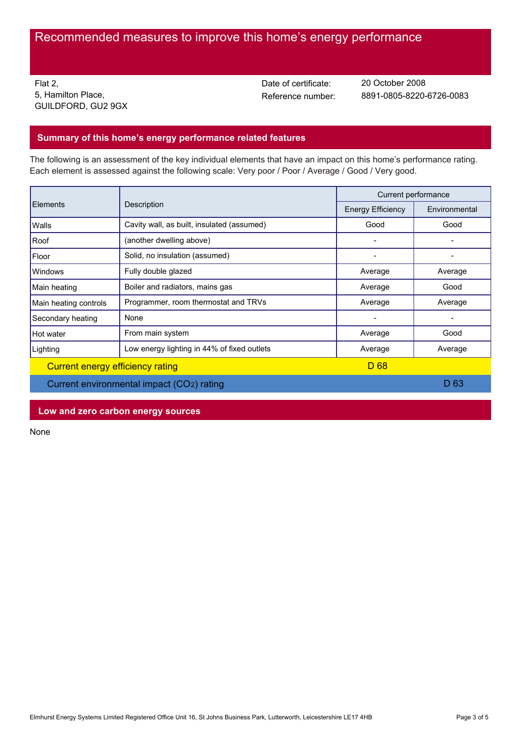# Recommended measures to improve this home's energy performance

Flat 2, 5, Hamilton Place, GUILDFORD, GU2 9GX Date of certificate:

Reference number: 8891-0805-8220-6726-0083 20 October 2008

## **Summary of this home's energy performance related features**

The following is an assessment of the key individual elements that have an impact on this home's performance rating. Each element is assessed against the following scale: Very poor / Poor / Average / Good / Very good.

| Elements<br>Description                   |                                             | Current performance      |               |
|-------------------------------------------|---------------------------------------------|--------------------------|---------------|
|                                           |                                             | <b>Energy Efficiency</b> | Environmental |
| Walls                                     | Cavity wall, as built, insulated (assumed)  | Good                     | Good          |
| Roof                                      | (another dwelling above)                    | -                        |               |
| Floor                                     | Solid, no insulation (assumed)              |                          |               |
| <b>Windows</b>                            | Fully double glazed                         | Average                  | Average       |
| Main heating                              | Boiler and radiators, mains gas             | Average                  | Good          |
| Main heating controls                     | Programmer, room thermostat and TRVs        | Average                  | Average       |
| Secondary heating                         | None                                        |                          |               |
| Hot water                                 | From main system                            | Average                  | Good          |
| Lighting                                  | Low energy lighting in 44% of fixed outlets | Average                  | Average       |
| Current energy efficiency rating          |                                             | D <sub>68</sub>          |               |
| Current environmental impact (CO2) rating |                                             |                          | D 63          |

**Low and zero carbon energy sources**

None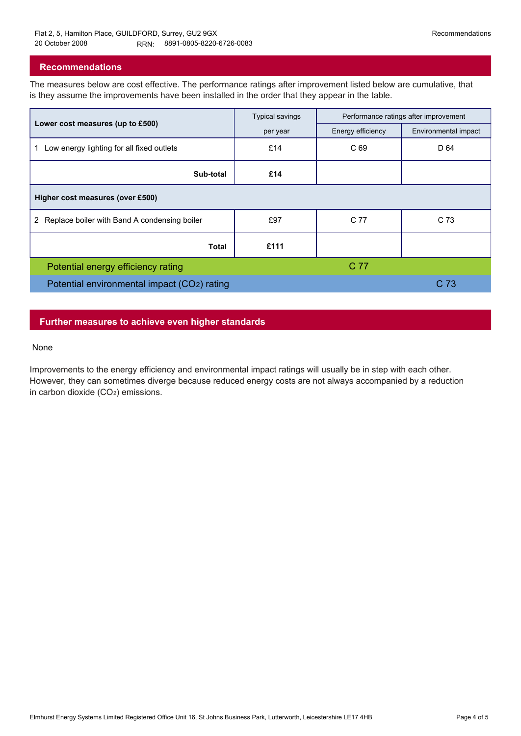### **Recommendations**

The measures below are cost effective. The performance ratings after improvement listed below are cumulative, that is they assume the improvements have been installed in the order that they appear in the table.

|                                                 | <b>Typical savings</b> | Performance ratings after improvement |                      |  |  |  |
|-------------------------------------------------|------------------------|---------------------------------------|----------------------|--|--|--|
| Lower cost measures (up to £500)                | per year               | Energy efficiency                     | Environmental impact |  |  |  |
| Low energy lighting for all fixed outlets<br>1. | £14                    | C 69                                  | D 64                 |  |  |  |
| Sub-total                                       | £14                    |                                       |                      |  |  |  |
| Higher cost measures (over £500)                |                        |                                       |                      |  |  |  |
| 2 Replace boiler with Band A condensing boiler  | £97                    | C 77                                  | C 73                 |  |  |  |
| Total                                           | £111                   |                                       |                      |  |  |  |
| Potential energy efficiency rating              |                        | C 77                                  |                      |  |  |  |
| Potential environmental impact (CO2) rating     |                        |                                       | C 73                 |  |  |  |

## **Further measures to achieve even higher standards**

#### None

Improvements to the energy efficiency and environmental impact ratings will usually be in step with each other. However, they can sometimes diverge because reduced energy costs are not always accompanied by a reduction in carbon dioxide (CO2) emissions.